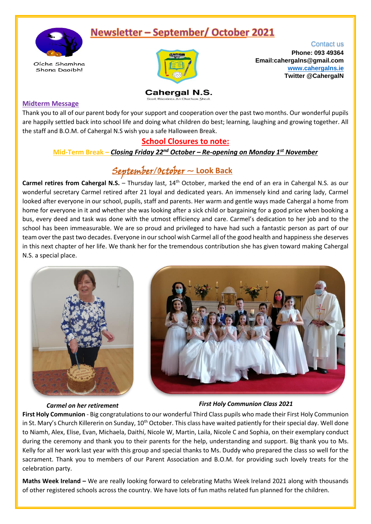# **Newsletter - September/ October 2021**



Oíche Shamhna Shona Daoibh!



Contact us **Phone: 093 49364 Email:cahergalns@gmail.com [www.cahergalns.ie](http://www.cahergalns.ie/) Twitter @CahergalN**

**Cahergal N.S.** Scoil, Dáisiúnta An Chathair Sheal

#### **Midterm Message**

Thank you to all of our parent body for your support and cooperation over the past two months. Our wonderful pupils are happily settled back into school life and doing what children do best; learning, laughing and growing together. All the staff and B.O.M. of Cahergal N.S wish you a safe Halloween Break.

### **School Closures to note:**

**Mid-Term Break –** *Closing Friday 22nd October – Re-opening on Monday 1st November*

## September/October ~ **Look Back**

**Carmel retires from Cahergal N.S.** – Thursday last, 14<sup>th</sup> October, marked the end of an era in Cahergal N.S. as our wonderful secretary Carmel retired after 21 loyal and dedicated years. An immensely kind and caring lady, Carmel looked after everyone in our school, pupils, staff and parents. Her warm and gentle ways made Cahergal a home from home for everyone in it and whether she was looking after a sick child or bargaining for a good price when booking a bus, every deed and task was done with the utmost efficiency and care. Carmel's dedication to her job and to the school has been immeasurable. We are so proud and privileged to have had such a fantastic person as part of our team over the past two decades. Everyone in our school wish Carmel all of the good health and happiness she deserves in this next chapter of her life. We thank her for the tremendous contribution she has given toward making Cahergal N.S. a special place.





#### *Carmel on her retirement First Holy Communion Class 2021*

**First Holy Communion** - Big congratulations to our wonderful Third Class pupils who made their First Holy Communion in St. Mary's Church Killererin on Sunday, 10<sup>th</sup> October. This class have waited patiently for their special day. Well done to Niamh, Alex, Elise, Evan, Michaela, Daithí, Nicole W, Martin, Laila, Nicole C and Sophia, on their exemplary conduct during the ceremony and thank you to their parents for the help, understanding and support. Big thank you to Ms. Kelly for all her work last year with this group and special thanks to Ms. Duddy who prepared the class so well for the sacrament. Thank you to members of our Parent Association and B.O.M. for providing such lovely treats for the celebration party.

**Maths Week Ireland –** We are really looking forward to celebrating Maths Week Ireland 2021 along with thousands of other registered schools across the country. We have lots of fun maths related fun planned for the children.